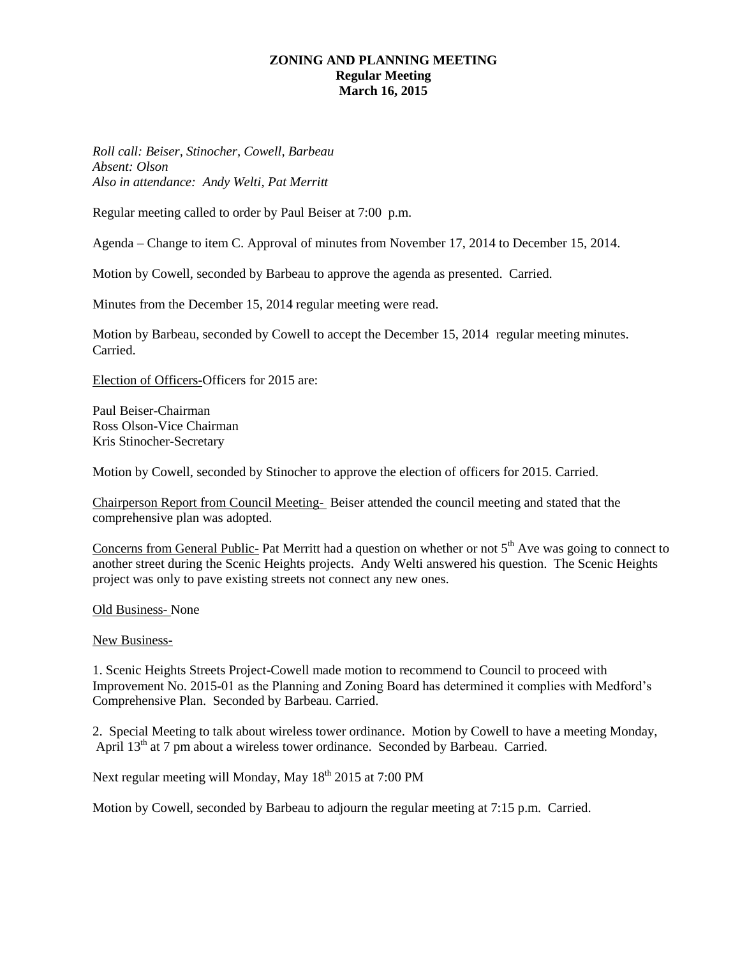## **ZONING AND PLANNING MEETING Regular Meeting March 16, 2015**

*Roll call: Beiser, Stinocher, Cowell, Barbeau Absent: Olson Also in attendance: Andy Welti, Pat Merritt*

Regular meeting called to order by Paul Beiser at 7:00 p.m.

Agenda – Change to item C. Approval of minutes from November 17, 2014 to December 15, 2014.

Motion by Cowell, seconded by Barbeau to approve the agenda as presented. Carried.

Minutes from the December 15, 2014 regular meeting were read.

Motion by Barbeau, seconded by Cowell to accept the December 15, 2014 regular meeting minutes. Carried.

Election of Officers-Officers for 2015 are:

Paul Beiser-Chairman Ross Olson-Vice Chairman Kris Stinocher-Secretary

Motion by Cowell, seconded by Stinocher to approve the election of officers for 2015. Carried.

Chairperson Report from Council Meeting- Beiser attended the council meeting and stated that the comprehensive plan was adopted.

Concerns from General Public- Pat Merritt had a question on whether or not  $5<sup>th</sup>$  Ave was going to connect to another street during the Scenic Heights projects. Andy Welti answered his question. The Scenic Heights project was only to pave existing streets not connect any new ones.

Old Business- None

New Business-

1. Scenic Heights Streets Project-Cowell made motion to recommend to Council to proceed with Improvement No. 2015-01 as the Planning and Zoning Board has determined it complies with Medford's Comprehensive Plan. Seconded by Barbeau. Carried.

2. Special Meeting to talk about wireless tower ordinance. Motion by Cowell to have a meeting Monday, April 13<sup>th</sup> at 7 pm about a wireless tower ordinance. Seconded by Barbeau. Carried.

Next regular meeting will Monday, May 18<sup>th</sup> 2015 at 7:00 PM

Motion by Cowell, seconded by Barbeau to adjourn the regular meeting at 7:15 p.m. Carried.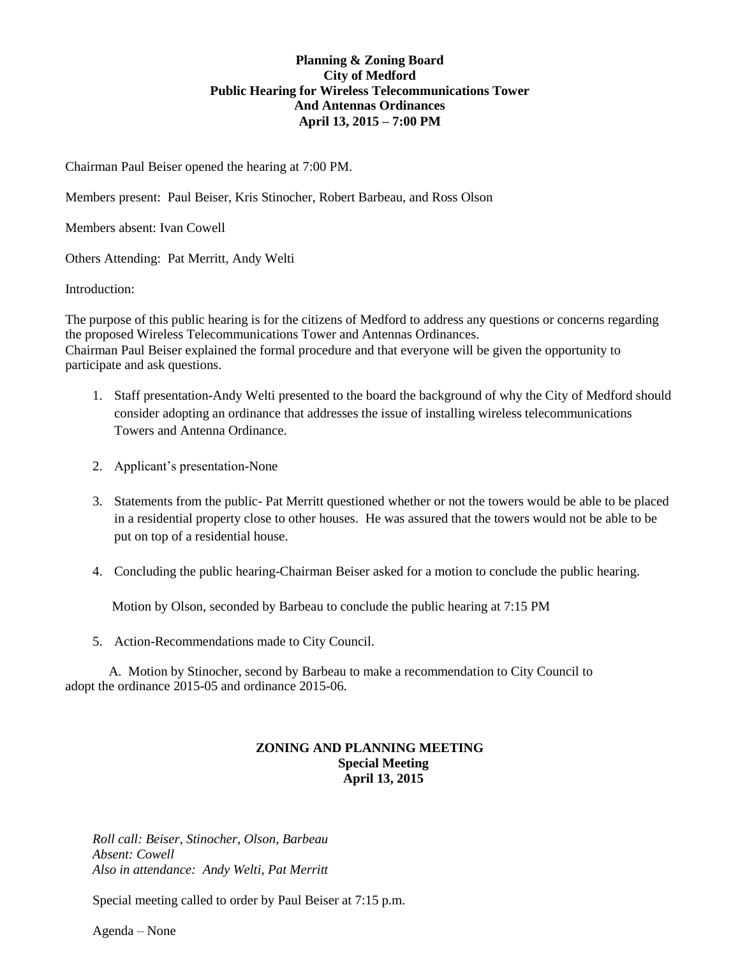# **Planning & Zoning Board City of Medford Public Hearing for Wireless Telecommunications Tower And Antennas Ordinances April 13, 2015 – 7:00 PM**

Chairman Paul Beiser opened the hearing at 7:00 PM.

Members present: Paul Beiser, Kris Stinocher, Robert Barbeau, and Ross Olson

Members absent: Ivan Cowell

Others Attending: Pat Merritt, Andy Welti

Introduction:

The purpose of this public hearing is for the citizens of Medford to address any questions or concerns regarding the proposed Wireless Telecommunications Tower and Antennas Ordinances. Chairman Paul Beiser explained the formal procedure and that everyone will be given the opportunity to participate and ask questions.

- 1. Staff presentation-Andy Welti presented to the board the background of why the City of Medford should consider adopting an ordinance that addresses the issue of installing wireless telecommunications Towers and Antenna Ordinance.
- 2. Applicant's presentation-None
- 3. Statements from the public- Pat Merritt questioned whether or not the towers would be able to be placed in a residential property close to other houses. He was assured that the towers would not be able to be put on top of a residential house.
- 4. Concluding the public hearing-Chairman Beiser asked for a motion to conclude the public hearing.

Motion by Olson, seconded by Barbeau to conclude the public hearing at 7:15 PM

5. Action-Recommendations made to City Council.

A. Motion by Stinocher, second by Barbeau to make a recommendation to City Council to adopt the ordinance 2015-05 and ordinance 2015-06.

### **ZONING AND PLANNING MEETING Special Meeting April 13, 2015**

*Roll call: Beiser, Stinocher, Olson, Barbeau Absent: Cowell Also in attendance: Andy Welti, Pat Merritt*

Special meeting called to order by Paul Beiser at 7:15 p.m.

Agenda – None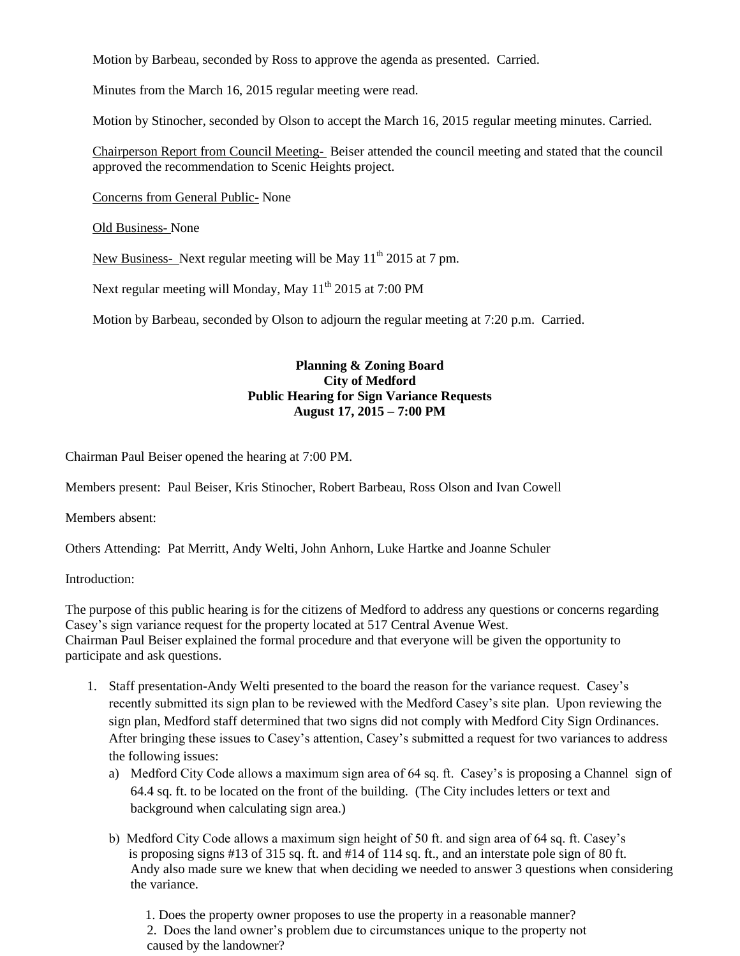Motion by Barbeau, seconded by Ross to approve the agenda as presented. Carried.

Minutes from the March 16, 2015 regular meeting were read.

Motion by Stinocher, seconded by Olson to accept the March 16, 2015 regular meeting minutes. Carried.

Chairperson Report from Council Meeting- Beiser attended the council meeting and stated that the council approved the recommendation to Scenic Heights project.

Concerns from General Public- None

Old Business- None

New Business- Next regular meeting will be May  $11<sup>th</sup>$  2015 at 7 pm.

Next regular meeting will Monday, May 11<sup>th</sup> 2015 at 7:00 PM

Motion by Barbeau, seconded by Olson to adjourn the regular meeting at 7:20 p.m. Carried.

## **Planning & Zoning Board City of Medford Public Hearing for Sign Variance Requests August 17, 2015 – 7:00 PM**

Chairman Paul Beiser opened the hearing at 7:00 PM.

Members present: Paul Beiser, Kris Stinocher, Robert Barbeau, Ross Olson and Ivan Cowell

Members absent:

Others Attending: Pat Merritt, Andy Welti, John Anhorn, Luke Hartke and Joanne Schuler

Introduction:

The purpose of this public hearing is for the citizens of Medford to address any questions or concerns regarding Casey's sign variance request for the property located at 517 Central Avenue West. Chairman Paul Beiser explained the formal procedure and that everyone will be given the opportunity to participate and ask questions.

- 1. Staff presentation-Andy Welti presented to the board the reason for the variance request. Casey's recently submitted its sign plan to be reviewed with the Medford Casey's site plan. Upon reviewing the sign plan, Medford staff determined that two signs did not comply with Medford City Sign Ordinances. After bringing these issues to Casey's attention, Casey's submitted a request for two variances to address the following issues:
	- a) Medford City Code allows a maximum sign area of 64 sq. ft. Casey's is proposing a Channel sign of 64.4 sq. ft. to be located on the front of the building. (The City includes letters or text and background when calculating sign area.)
	- b) Medford City Code allows a maximum sign height of 50 ft. and sign area of 64 sq. ft. Casey's is proposing signs #13 of 315 sq. ft. and #14 of 114 sq. ft., and an interstate pole sign of 80 ft. Andy also made sure we knew that when deciding we needed to answer 3 questions when considering the variance.

 1. Does the property owner proposes to use the property in a reasonable manner? 2. Does the land owner's problem due to circumstances unique to the property not caused by the landowner?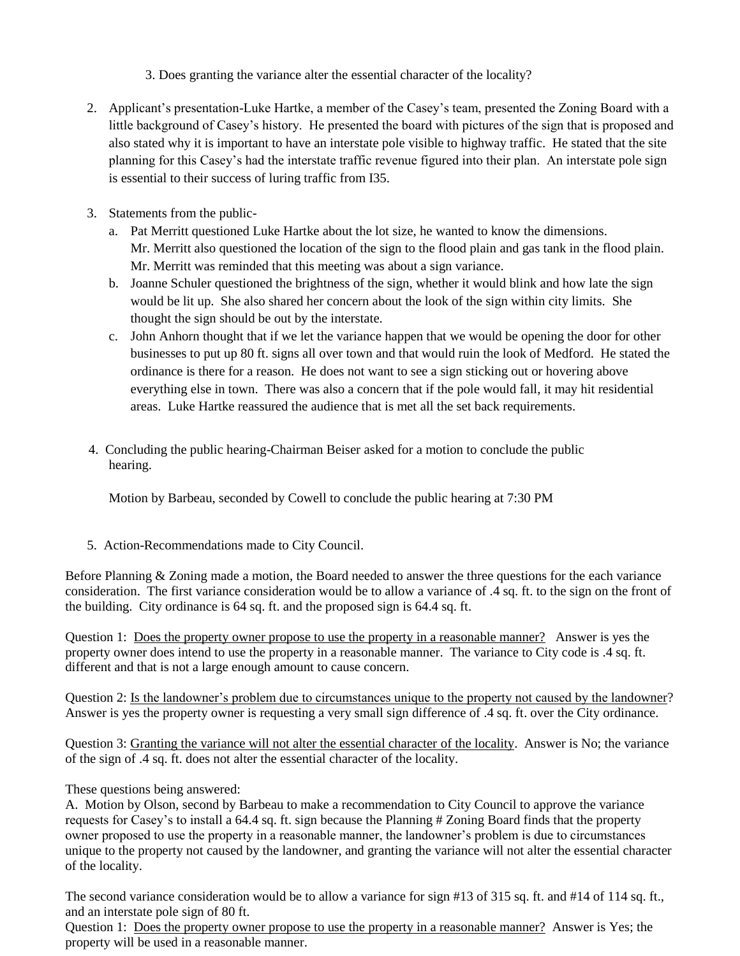3. Does granting the variance alter the essential character of the locality?

- 2. Applicant's presentation-Luke Hartke, a member of the Casey's team, presented the Zoning Board with a little background of Casey's history. He presented the board with pictures of the sign that is proposed and also stated why it is important to have an interstate pole visible to highway traffic. He stated that the site planning for this Casey's had the interstate traffic revenue figured into their plan. An interstate pole sign is essential to their success of luring traffic from I35.
- 3. Statements from the public
	- a. Pat Merritt questioned Luke Hartke about the lot size, he wanted to know the dimensions. Mr. Merritt also questioned the location of the sign to the flood plain and gas tank in the flood plain. Mr. Merritt was reminded that this meeting was about a sign variance.
	- b. Joanne Schuler questioned the brightness of the sign, whether it would blink and how late the sign would be lit up. She also shared her concern about the look of the sign within city limits. She thought the sign should be out by the interstate.
	- c. John Anhorn thought that if we let the variance happen that we would be opening the door for other businesses to put up 80 ft. signs all over town and that would ruin the look of Medford. He stated the ordinance is there for a reason. He does not want to see a sign sticking out or hovering above everything else in town. There was also a concern that if the pole would fall, it may hit residential areas. Luke Hartke reassured the audience that is met all the set back requirements.
- 4. Concluding the public hearing-Chairman Beiser asked for a motion to conclude the public hearing.

Motion by Barbeau, seconded by Cowell to conclude the public hearing at 7:30 PM

5. Action-Recommendations made to City Council.

Before Planning & Zoning made a motion, the Board needed to answer the three questions for the each variance consideration. The first variance consideration would be to allow a variance of .4 sq. ft. to the sign on the front of the building. City ordinance is 64 sq. ft. and the proposed sign is 64.4 sq. ft.

Question 1: Does the property owner propose to use the property in a reasonable manner? Answer is yes the property owner does intend to use the property in a reasonable manner. The variance to City code is .4 sq. ft. different and that is not a large enough amount to cause concern.

Question 2: Is the landowner's problem due to circumstances unique to the property not caused by the landowner? Answer is yes the property owner is requesting a very small sign difference of .4 sq. ft. over the City ordinance.

Question 3: Granting the variance will not alter the essential character of the locality. Answer is No; the variance of the sign of .4 sq. ft. does not alter the essential character of the locality.

These questions being answered:

A. Motion by Olson, second by Barbeau to make a recommendation to City Council to approve the variance requests for Casey's to install a 64.4 sq. ft. sign because the Planning # Zoning Board finds that the property owner proposed to use the property in a reasonable manner, the landowner's problem is due to circumstances unique to the property not caused by the landowner, and granting the variance will not alter the essential character of the locality.

The second variance consideration would be to allow a variance for sign #13 of 315 sq. ft. and #14 of 114 sq. ft., and an interstate pole sign of 80 ft.

Question 1: Does the property owner propose to use the property in a reasonable manner? Answer is Yes; the property will be used in a reasonable manner.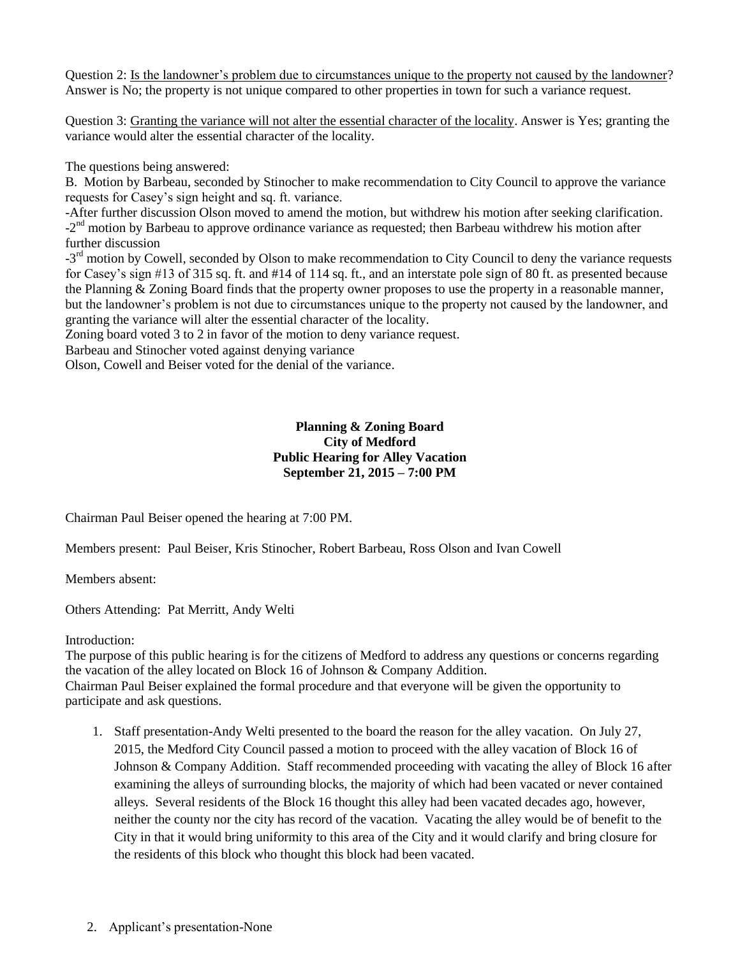Question 2: Is the landowner's problem due to circumstances unique to the property not caused by the landowner? Answer is No; the property is not unique compared to other properties in town for such a variance request.

Question 3: Granting the variance will not alter the essential character of the locality. Answer is Yes; granting the variance would alter the essential character of the locality.

The questions being answered:

B. Motion by Barbeau, seconded by Stinocher to make recommendation to City Council to approve the variance requests for Casey's sign height and sq. ft. variance.

-After further discussion Olson moved to amend the motion, but withdrew his motion after seeking clarification.  $-2<sup>nd</sup>$  motion by Barbeau to approve ordinance variance as requested; then Barbeau withdrew his motion after further discussion

-3<sup>rd</sup> motion by Cowell, seconded by Olson to make recommendation to City Council to deny the variance requests for Casey's sign #13 of 315 sq. ft. and #14 of 114 sq. ft., and an interstate pole sign of 80 ft. as presented because the Planning & Zoning Board finds that the property owner proposes to use the property in a reasonable manner, but the landowner's problem is not due to circumstances unique to the property not caused by the landowner, and granting the variance will alter the essential character of the locality.

Zoning board voted 3 to 2 in favor of the motion to deny variance request.

Barbeau and Stinocher voted against denying variance

Olson, Cowell and Beiser voted for the denial of the variance.

# **Planning & Zoning Board City of Medford Public Hearing for Alley Vacation September 21, 2015 – 7:00 PM**

Chairman Paul Beiser opened the hearing at 7:00 PM.

Members present: Paul Beiser, Kris Stinocher, Robert Barbeau, Ross Olson and Ivan Cowell

Members absent:

Others Attending: Pat Merritt, Andy Welti

Introduction:

The purpose of this public hearing is for the citizens of Medford to address any questions or concerns regarding the vacation of the alley located on Block 16 of Johnson & Company Addition. Chairman Paul Beiser explained the formal procedure and that everyone will be given the opportunity to participate and ask questions.

- 1. Staff presentation-Andy Welti presented to the board the reason for the alley vacation. On July 27, 2015, the Medford City Council passed a motion to proceed with the alley vacation of Block 16 of Johnson & Company Addition. Staff recommended proceeding with vacating the alley of Block 16 after examining the alleys of surrounding blocks, the majority of which had been vacated or never contained alleys. Several residents of the Block 16 thought this alley had been vacated decades ago, however, neither the county nor the city has record of the vacation. Vacating the alley would be of benefit to the City in that it would bring uniformity to this area of the City and it would clarify and bring closure for the residents of this block who thought this block had been vacated.
- 2. Applicant's presentation-None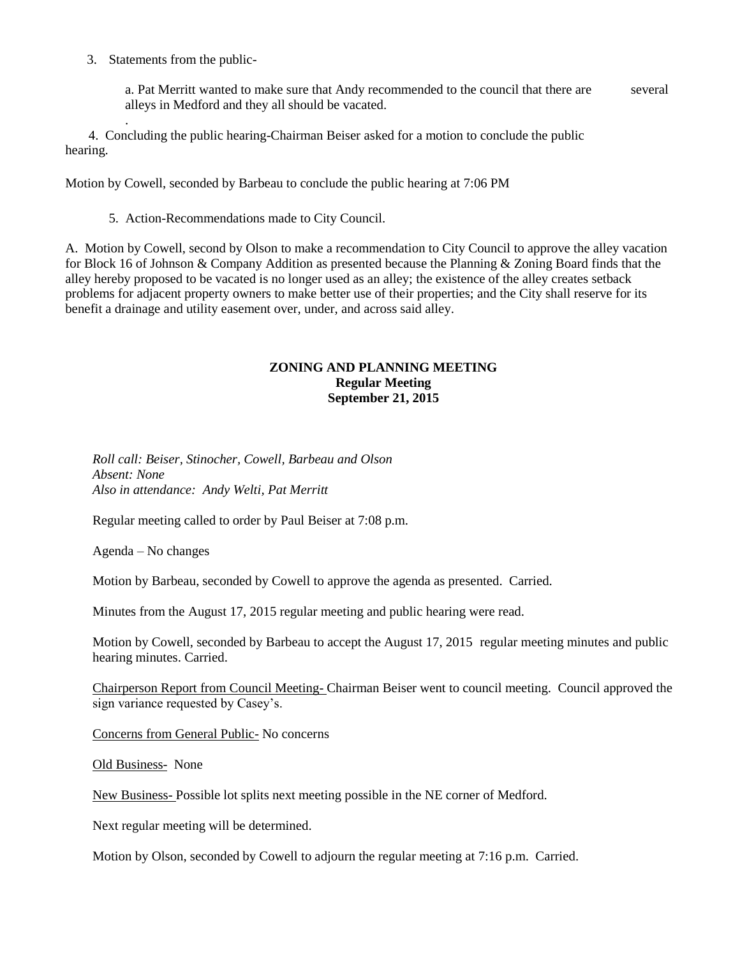3. Statements from the public-

.

a. Pat Merritt wanted to make sure that Andy recommended to the council that there are several alleys in Medford and they all should be vacated.

 4. Concluding the public hearing-Chairman Beiser asked for a motion to conclude the public hearing.

Motion by Cowell, seconded by Barbeau to conclude the public hearing at 7:06 PM

5. Action-Recommendations made to City Council.

A. Motion by Cowell, second by Olson to make a recommendation to City Council to approve the alley vacation for Block 16 of Johnson & Company Addition as presented because the Planning & Zoning Board finds that the alley hereby proposed to be vacated is no longer used as an alley; the existence of the alley creates setback problems for adjacent property owners to make better use of their properties; and the City shall reserve for its benefit a drainage and utility easement over, under, and across said alley.

### **ZONING AND PLANNING MEETING Regular Meeting September 21, 2015**

*Roll call: Beiser, Stinocher, Cowell, Barbeau and Olson Absent: None Also in attendance: Andy Welti, Pat Merritt*

Regular meeting called to order by Paul Beiser at 7:08 p.m.

Agenda – No changes

Motion by Barbeau, seconded by Cowell to approve the agenda as presented. Carried.

Minutes from the August 17, 2015 regular meeting and public hearing were read.

Motion by Cowell, seconded by Barbeau to accept the August 17, 2015 regular meeting minutes and public hearing minutes. Carried.

Chairperson Report from Council Meeting- Chairman Beiser went to council meeting. Council approved the sign variance requested by Casey's.

Concerns from General Public- No concerns

Old Business- None

New Business- Possible lot splits next meeting possible in the NE corner of Medford.

Next regular meeting will be determined.

Motion by Olson, seconded by Cowell to adjourn the regular meeting at 7:16 p.m. Carried.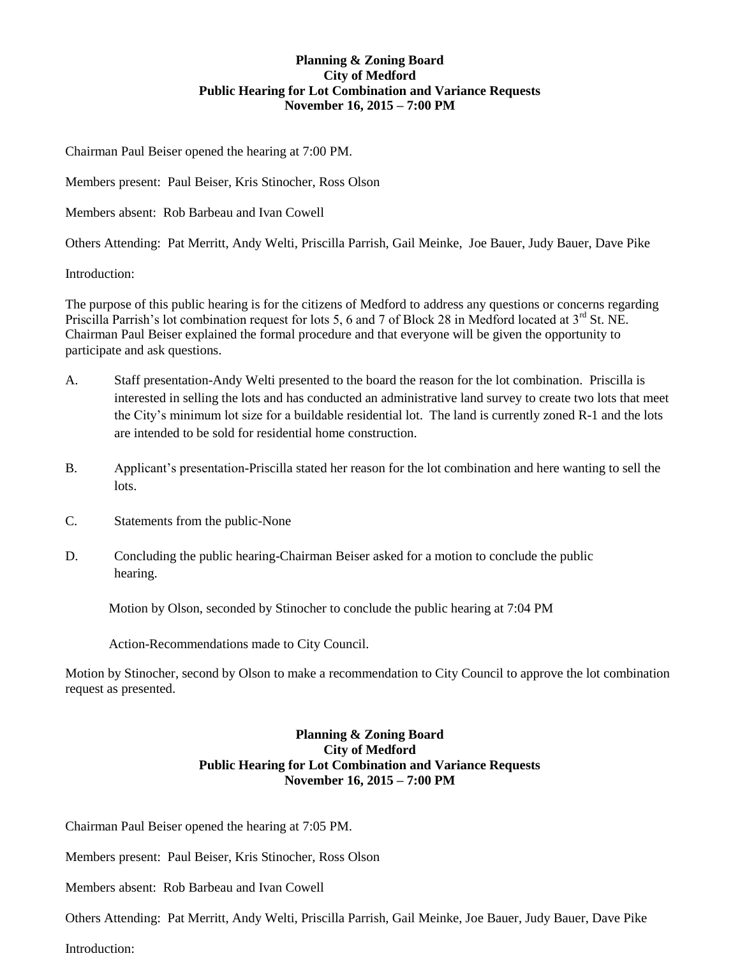# **Planning & Zoning Board City of Medford Public Hearing for Lot Combination and Variance Requests November 16, 2015 – 7:00 PM**

Chairman Paul Beiser opened the hearing at 7:00 PM.

Members present: Paul Beiser, Kris Stinocher, Ross Olson

Members absent: Rob Barbeau and Ivan Cowell

Others Attending: Pat Merritt, Andy Welti, Priscilla Parrish, Gail Meinke, Joe Bauer, Judy Bauer, Dave Pike

Introduction:

The purpose of this public hearing is for the citizens of Medford to address any questions or concerns regarding Priscilla Parrish's lot combination request for lots 5, 6 and 7 of Block 28 in Medford located at 3<sup>rd</sup> St. NE. Chairman Paul Beiser explained the formal procedure and that everyone will be given the opportunity to participate and ask questions.

- A. Staff presentation-Andy Welti presented to the board the reason for the lot combination. Priscilla is interested in selling the lots and has conducted an administrative land survey to create two lots that meet the City's minimum lot size for a buildable residential lot. The land is currently zoned R-1 and the lots are intended to be sold for residential home construction.
- B. Applicant's presentation-Priscilla stated her reason for the lot combination and here wanting to sell the lots.
- C. Statements from the public-None
- D. Concluding the public hearing-Chairman Beiser asked for a motion to conclude the public hearing.

Motion by Olson, seconded by Stinocher to conclude the public hearing at 7:04 PM

Action-Recommendations made to City Council.

Motion by Stinocher, second by Olson to make a recommendation to City Council to approve the lot combination request as presented.

## **Planning & Zoning Board City of Medford Public Hearing for Lot Combination and Variance Requests November 16, 2015 – 7:00 PM**

Chairman Paul Beiser opened the hearing at 7:05 PM.

Members present: Paul Beiser, Kris Stinocher, Ross Olson

Members absent: Rob Barbeau and Ivan Cowell

Others Attending: Pat Merritt, Andy Welti, Priscilla Parrish, Gail Meinke, Joe Bauer, Judy Bauer, Dave Pike

Introduction: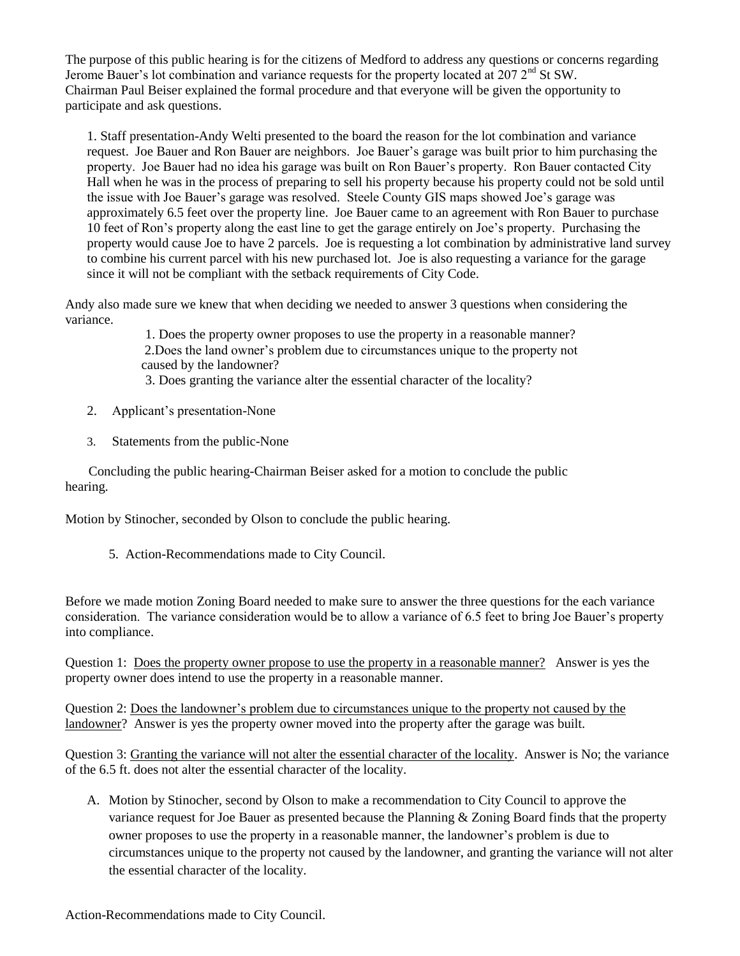The purpose of this public hearing is for the citizens of Medford to address any questions or concerns regarding Jerome Bauer's lot combination and variance requests for the property located at  $207 2<sup>nd</sup>$  St SW. Chairman Paul Beiser explained the formal procedure and that everyone will be given the opportunity to participate and ask questions.

1. Staff presentation-Andy Welti presented to the board the reason for the lot combination and variance request. Joe Bauer and Ron Bauer are neighbors. Joe Bauer's garage was built prior to him purchasing the property. Joe Bauer had no idea his garage was built on Ron Bauer's property. Ron Bauer contacted City Hall when he was in the process of preparing to sell his property because his property could not be sold until the issue with Joe Bauer's garage was resolved. Steele County GIS maps showed Joe's garage was approximately 6.5 feet over the property line. Joe Bauer came to an agreement with Ron Bauer to purchase 10 feet of Ron's property along the east line to get the garage entirely on Joe's property. Purchasing the property would cause Joe to have 2 parcels. Joe is requesting a lot combination by administrative land survey to combine his current parcel with his new purchased lot. Joe is also requesting a variance for the garage since it will not be compliant with the setback requirements of City Code.

Andy also made sure we knew that when deciding we needed to answer 3 questions when considering the variance.

> 1. Does the property owner proposes to use the property in a reasonable manner? 2.Does the land owner's problem due to circumstances unique to the property not caused by the landowner?

3. Does granting the variance alter the essential character of the locality?

- 2. Applicant's presentation-None
- 3. Statements from the public-None

 Concluding the public hearing-Chairman Beiser asked for a motion to conclude the public hearing.

Motion by Stinocher, seconded by Olson to conclude the public hearing.

5. Action-Recommendations made to City Council.

Before we made motion Zoning Board needed to make sure to answer the three questions for the each variance consideration. The variance consideration would be to allow a variance of 6.5 feet to bring Joe Bauer's property into compliance.

Question 1: Does the property owner propose to use the property in a reasonable manner? Answer is yes the property owner does intend to use the property in a reasonable manner.

Question 2: Does the landowner's problem due to circumstances unique to the property not caused by the landowner? Answer is yes the property owner moved into the property after the garage was built.

Question 3: Granting the variance will not alter the essential character of the locality. Answer is No; the variance of the 6.5 ft. does not alter the essential character of the locality.

A. Motion by Stinocher, second by Olson to make a recommendation to City Council to approve the variance request for Joe Bauer as presented because the Planning & Zoning Board finds that the property owner proposes to use the property in a reasonable manner, the landowner's problem is due to circumstances unique to the property not caused by the landowner, and granting the variance will not alter the essential character of the locality.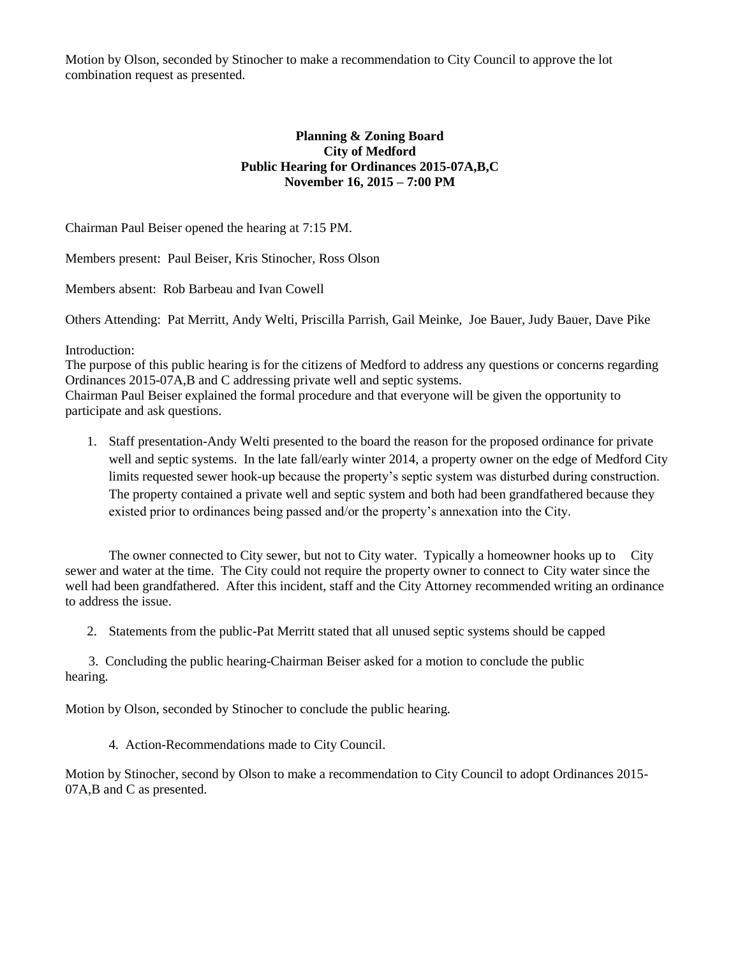Motion by Olson, seconded by Stinocher to make a recommendation to City Council to approve the lot combination request as presented.

## **Planning & Zoning Board City of Medford Public Hearing for Ordinances 2015-07A,B,C November 16, 2015 – 7:00 PM**

Chairman Paul Beiser opened the hearing at 7:15 PM.

Members present: Paul Beiser, Kris Stinocher, Ross Olson

Members absent: Rob Barbeau and Ivan Cowell

Others Attending: Pat Merritt, Andy Welti, Priscilla Parrish, Gail Meinke, Joe Bauer, Judy Bauer, Dave Pike

#### Introduction:

The purpose of this public hearing is for the citizens of Medford to address any questions or concerns regarding Ordinances 2015-07A,B and C addressing private well and septic systems. Chairman Paul Beiser explained the formal procedure and that everyone will be given the opportunity to

participate and ask questions.

1. Staff presentation-Andy Welti presented to the board the reason for the proposed ordinance for private well and septic systems. In the late fall/early winter 2014, a property owner on the edge of Medford City limits requested sewer hook-up because the property's septic system was disturbed during construction. The property contained a private well and septic system and both had been grandfathered because they existed prior to ordinances being passed and/or the property's annexation into the City.

The owner connected to City sewer, but not to City water. Typically a homeowner hooks up to City sewer and water at the time. The City could not require the property owner to connect to City water since the well had been grandfathered. After this incident, staff and the City Attorney recommended writing an ordinance to address the issue.

2. Statements from the public-Pat Merritt stated that all unused septic systems should be capped

 3. Concluding the public hearing-Chairman Beiser asked for a motion to conclude the public hearing.

Motion by Olson, seconded by Stinocher to conclude the public hearing.

4. Action-Recommendations made to City Council.

Motion by Stinocher, second by Olson to make a recommendation to City Council to adopt Ordinances 2015- 07A,B and C as presented.